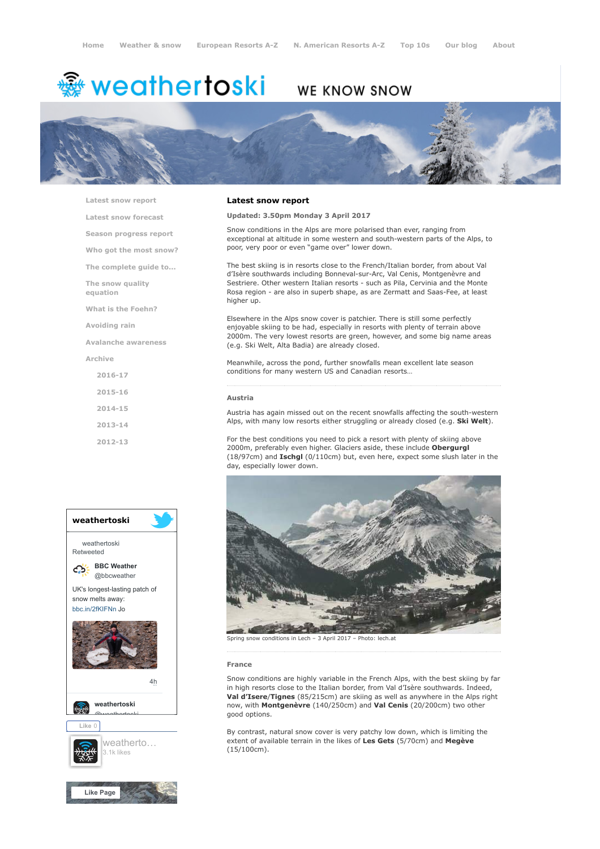# ∰ weathertoski

# WE KNOW SNOW



[Latest snow report](https://www.weathertoski.co.uk/weather-snow/latest-snow-report/)

[Latest snow forecast](https://www.weathertoski.co.uk/weather-snow/latest-snow-forecast/)

[Season progress report](https://www.weathertoski.co.uk/weather-snow/season-progress-report/)

[Who got the most snow?](https://www.weathertoski.co.uk/weather-snow/who-got-the-most-snow/)

[The complete guide to...](https://www.weathertoski.co.uk/weather-snow/the-complete-guide-to/)

[The snow quality](https://www.weathertoski.co.uk/weather-snow/the-snow-quality-equation/)

[What is the Foehn?](https://www.weathertoski.co.uk/weather-snow/what-is-the-foehn/)

[Avoiding rain](https://www.weathertoski.co.uk/weather-snow/avoiding-rain/)

equation

[Avalanche awareness](https://www.weathertoski.co.uk/weather-snow/avalanche-awareness/)

[Archive](https://www.weathertoski.co.uk/weather-snow/archive/)

[2016-17](https://www.weathertoski.co.uk/weather-snow/archive/2016-17/) [2015-16](https://www.weathertoski.co.uk/weather-snow/archive/2015-16/) [2014-15](https://www.weathertoski.co.uk/weather-snow/archive/2014-15/) [2013-14](https://www.weathertoski.co.uk/weather-snow/archive/2013-14/) [2012-13](https://www.weathertoski.co.uk/weather-snow/archive/2012-13/)



## Latest snow report

Updated: 3.50pm Monday 3 April 2017

Snow conditions in the Alps are more polarised than ever, ranging from exceptional at altitude in some western and south-western parts of the Alps, to poor, very poor or even "game over" lower down.

The best skiing is in resorts close to the French/Italian border, from about Val d'Isère southwards including Bonneval-sur-Arc, Val Cenis, Montgenèvre and Sestriere. Other western Italian resorts - such as Pila, Cervinia and the Monte Rosa region - are also in superb shape, as are Zermatt and Saas-Fee, at least higher up.

Elsewhere in the Alps snow cover is patchier. There is still some perfectly enjoyable skiing to be had, especially in resorts with plenty of terrain above 2000m. The very lowest resorts are green, however, and some big name areas (e.g. Ski Welt, Alta Badia) are already closed.

Meanwhile, across the pond, further snowfalls mean excellent late season conditions for many western US and Canadian resorts…

#### Austria

Austria has again missed out on the recent snowfalls affecting the south-western Alps, with many low resorts either struggling or already closed (e.g. Ski Welt).

For the best conditions you need to pick a resort with plenty of skiing above 2000m, preferably even higher. Glaciers aside, these include Obergurgl (18/97cm) and Ischgl (0/110cm) but, even here, expect some slush later in the day, especially lower down.



#### France

Snow conditions are highly variable in the French Alps, with the best skiing by far in high resorts close to the Italian border, from Val d'Isère southwards. Indeed, Val d'Isere/Tignes (85/215cm) are skiing as well as anywhere in the Alps right now, with Montgenèvre (140/250cm) and Val Cenis (20/200cm) two other good options.

By contrast, natural snow cover is very patchy low down, which is limiting the extent of available terrain in the likes of Les Gets (5/70cm) and Megève (15/100cm).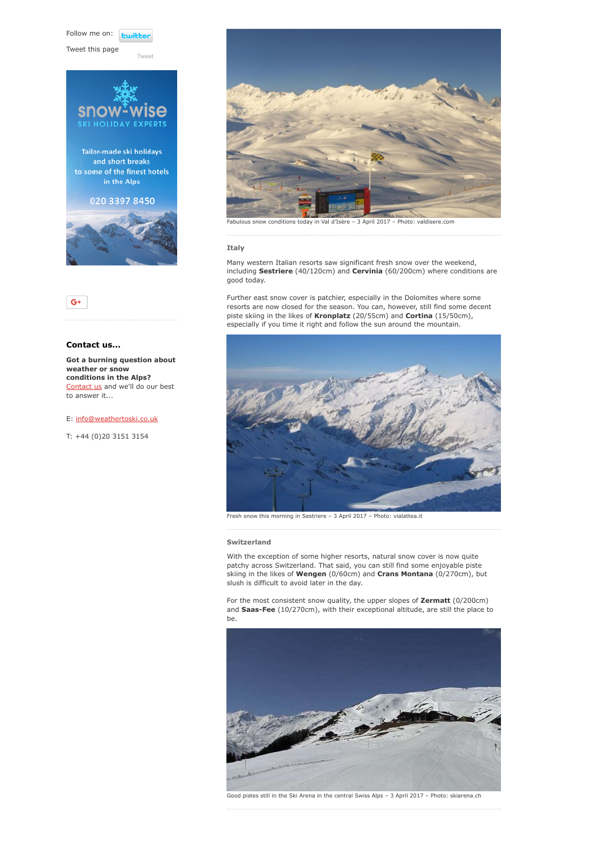Follow me on: **Luitt** 

[Tweet](https://twitter.com/intent/tweet?original_referer=https%3A%2F%2Fwww.weathertoski.co.uk%2Fweather-snow%2Farchive%2Fsnow-report-03-04-2017%2F&ref_src=twsrc%5Etfw&text=Weather%20to%20ski%20-%20Snow%20report%20-%203%20April%202017&tw_p=tweetbutton&url=https%3A%2F%2Fwww.weathertoski.co.uk%2Fweather-snow%2Farchive%2Fsnow-report-03-04-2017%2F)

Tweet this page





# Contact us...

Got a burning question about weather or snow conditions in the Alps? [Contact us](https://www.weathertoski.co.uk/about-1/contact-us/) and we'll do our best to answer it...

E: [info@weathertoski.co.uk](mailto:fraser@weathertoski.co.uk)

T: +44 (0)20 3151 3154



Fabulous snow conditions today in Val d'Isère – 3 April 2017 – Photo: valdisere.com

# Italy

Many western Italian resorts saw significant fresh snow over the weekend, including Sestriere (40/120cm) and Cervinia (60/200cm) where conditions are good today.

Further east snow cover is patchier, especially in the Dolomites where some resorts are now closed for the season. You can, however, still find some decent piste skiing in the likes of Kronplatz (20/55cm) and Cortina (15/50cm), especially if you time it right and follow the sun around the mountain.



Fresh snow this morning in Sestriere – 3 April 2017 – Photo: vialattea.it

# Switzerland

With the exception of some higher resorts, natural snow cover is now quite patchy across Switzerland. That said, you can still find some enjoyable piste skiing in the likes of Wengen (0/60cm) and Crans Montana (0/270cm), but slush is difficult to avoid later in the day.

For the most consistent snow quality, the upper slopes of Zermatt (0/200cm) and Saas-Fee (10/270cm), with their exceptional altitude, are still the place to be.



Good pistes still in the Ski Arena in the central Swiss Alps – 3 April 2017 – Photo: skiarena.ch